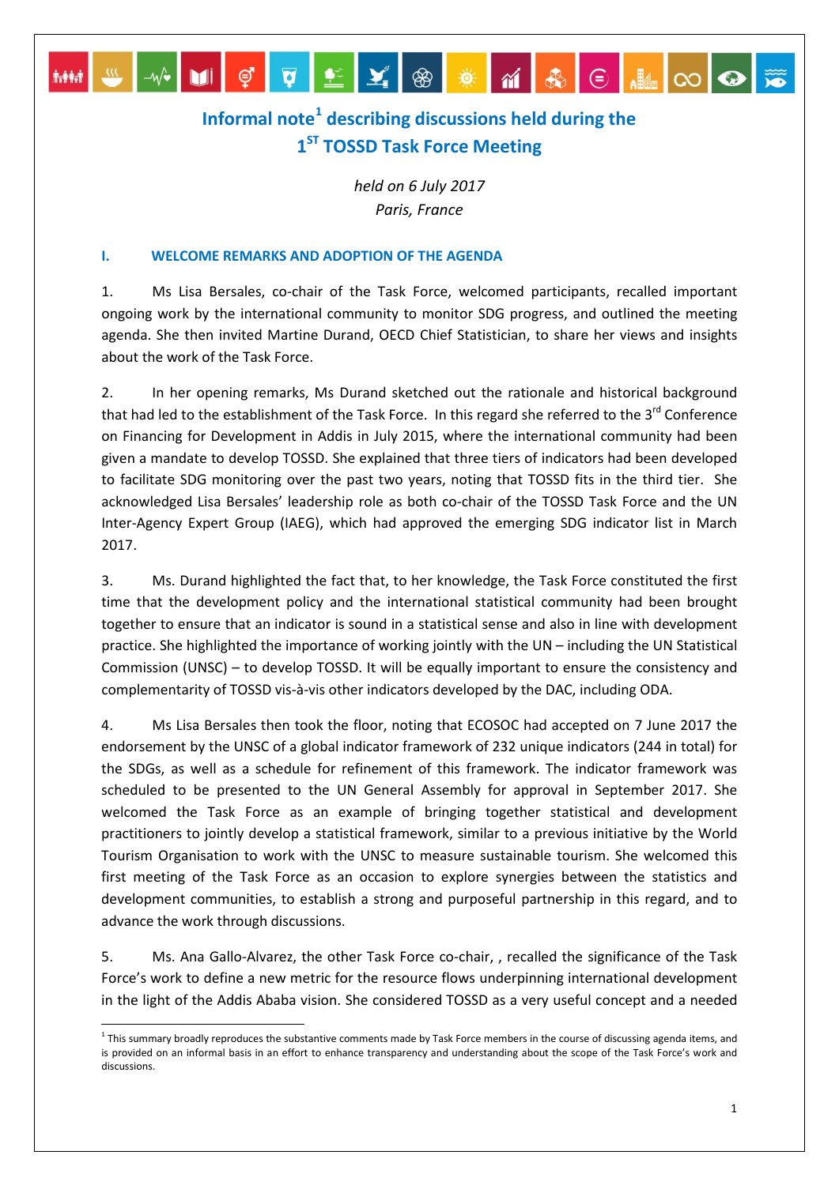# **Informal note[1](#page-0-0) describing discussions held during the 1ST TOSSD Task Force Meeting**

MPIÇQQYQXGXXXXQ

*held on 6 July 2017 Paris, France*

## **I. WELCOME REMARKS AND ADOPTION OF THE AGENDA**

1. Ms Lisa Bersales, co-chair of the Task Force, welcomed participants, recalled important ongoing work by the international community to monitor SDG progress, and outlined the meeting agenda. She then invited Martine Durand, OECD Chief Statistician, to share her views and insights about the work of the Task Force.

2. In her opening remarks, Ms Durand sketched out the rationale and historical background that had led to the establishment of the Task Force. In this regard she referred to the 3<sup>rd</sup> Conference on Financing for Development in Addis in July 2015, where the international community had been given a mandate to develop TOSSD. She explained that three tiers of indicators had been developed to facilitate SDG monitoring over the past two years, noting that TOSSD fits in the third tier. She acknowledged Lisa Bersales' leadership role as both co-chair of the TOSSD Task Force and the UN Inter-Agency Expert Group (IAEG), which had approved the emerging SDG indicator list in March 2017.

3. Ms. Durand highlighted the fact that, to her knowledge, the Task Force constituted the first time that the development policy and the international statistical community had been brought together to ensure that an indicator is sound in a statistical sense and also in line with development practice. She highlighted the importance of working jointly with the UN – including the UN Statistical Commission (UNSC) – to develop TOSSD. It will be equally important to ensure the consistency and complementarity of TOSSD vis-à-vis other indicators developed by the DAC, including ODA.

4. Ms Lisa Bersales then took the floor, noting that ECOSOC had accepted on 7 June 2017 the endorsement by the UNSC of a global indicator framework of 232 unique indicators (244 in total) for the SDGs, as well as a schedule for refinement of this framework. The indicator framework was scheduled to be presented to the UN General Assembly for approval in September 2017. She welcomed the Task Force as an example of bringing together statistical and development practitioners to jointly develop a statistical framework, similar to a previous initiative by the World Tourism Organisation to work with the UNSC to measure sustainable tourism. She welcomed this first meeting of the Task Force as an occasion to explore synergies between the statistics and development communities, to establish a strong and purposeful partnership in this regard, and to advance the work through discussions.

5. Ms. Ana Gallo-Alvarez, the other Task Force co-chair, , recalled the significance of the Task Force's work to define a new metric for the resource flows underpinning international development in the light of the Addis Ababa vision. She considered TOSSD as a very useful concept and a needed

<span id="page-0-0"></span><sup>&</sup>lt;sup>1</sup> This summary broadly reproduces the substantive comments made by Task Force members in the course of discussing agenda items, and is provided on an informal basis in an effort to enhance transparency and understanding about the scope of the Task Force's work and discussions.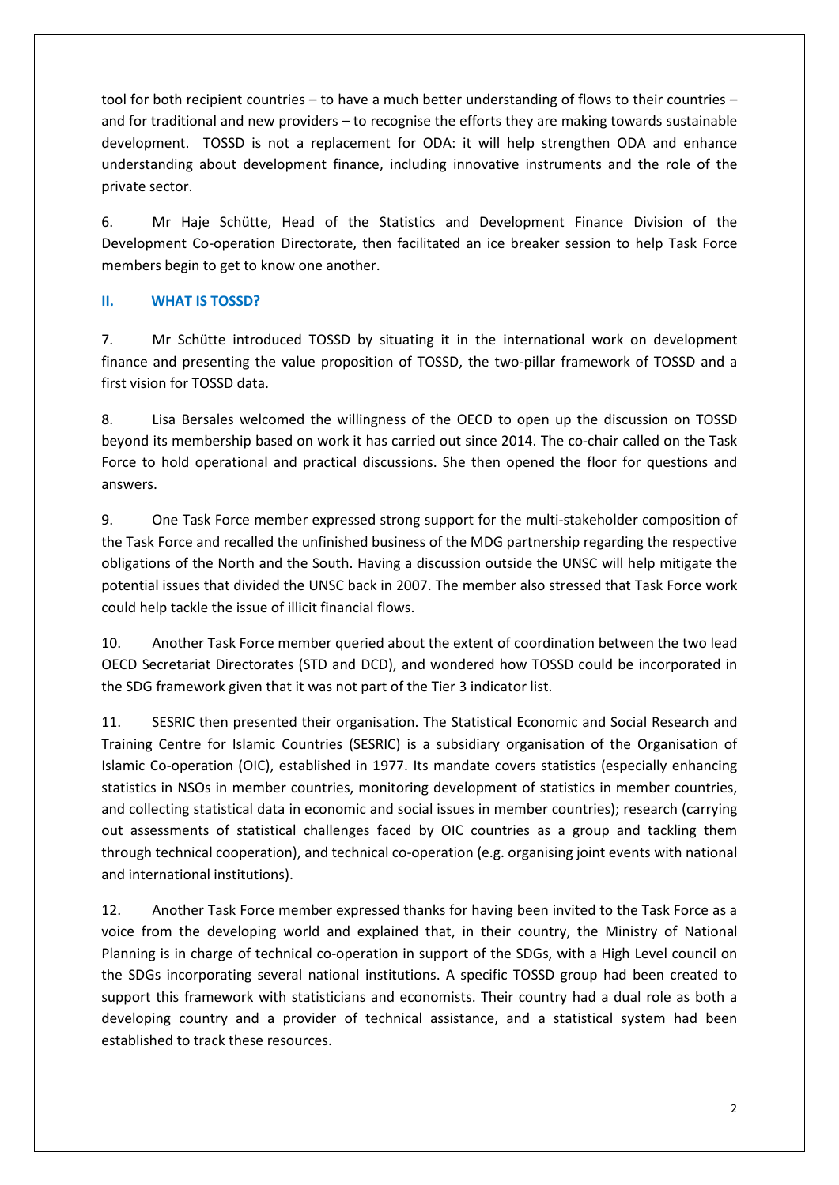tool for both recipient countries – to have a much better understanding of flows to their countries – and for traditional and new providers – to recognise the efforts they are making towards sustainable development. TOSSD is not a replacement for ODA: it will help strengthen ODA and enhance understanding about development finance, including innovative instruments and the role of the private sector.

6. Mr Haje Schütte, Head of the Statistics and Development Finance Division of the Development Co-operation Directorate, then facilitated an ice breaker session to help Task Force members begin to get to know one another.

# **II. WHAT IS TOSSD?**

7. Mr Schütte introduced TOSSD by situating it in the international work on development finance and presenting the value proposition of TOSSD, the two-pillar framework of TOSSD and a first vision for TOSSD data.

8. Lisa Bersales welcomed the willingness of the OECD to open up the discussion on TOSSD beyond its membership based on work it has carried out since 2014. The co-chair called on the Task Force to hold operational and practical discussions. She then opened the floor for questions and answers.

9. One Task Force member expressed strong support for the multi-stakeholder composition of the Task Force and recalled the unfinished business of the MDG partnership regarding the respective obligations of the North and the South. Having a discussion outside the UNSC will help mitigate the potential issues that divided the UNSC back in 2007. The member also stressed that Task Force work could help tackle the issue of illicit financial flows.

10. Another Task Force member queried about the extent of coordination between the two lead OECD Secretariat Directorates (STD and DCD), and wondered how TOSSD could be incorporated in the SDG framework given that it was not part of the Tier 3 indicator list.

11. SESRIC then presented their organisation. The Statistical Economic and Social Research and Training Centre for Islamic Countries (SESRIC) is a subsidiary organisation of the Organisation of Islamic Co-operation (OIC), established in 1977. Its mandate covers statistics (especially enhancing statistics in NSOs in member countries, monitoring development of statistics in member countries, and collecting statistical data in economic and social issues in member countries); research (carrying out assessments of statistical challenges faced by OIC countries as a group and tackling them through technical cooperation), and technical co-operation (e.g. organising joint events with national and international institutions).

12. Another Task Force member expressed thanks for having been invited to the Task Force as a voice from the developing world and explained that, in their country, the Ministry of National Planning is in charge of technical co-operation in support of the SDGs, with a High Level council on the SDGs incorporating several national institutions. A specific TOSSD group had been created to support this framework with statisticians and economists. Their country had a dual role as both a developing country and a provider of technical assistance, and a statistical system had been established to track these resources.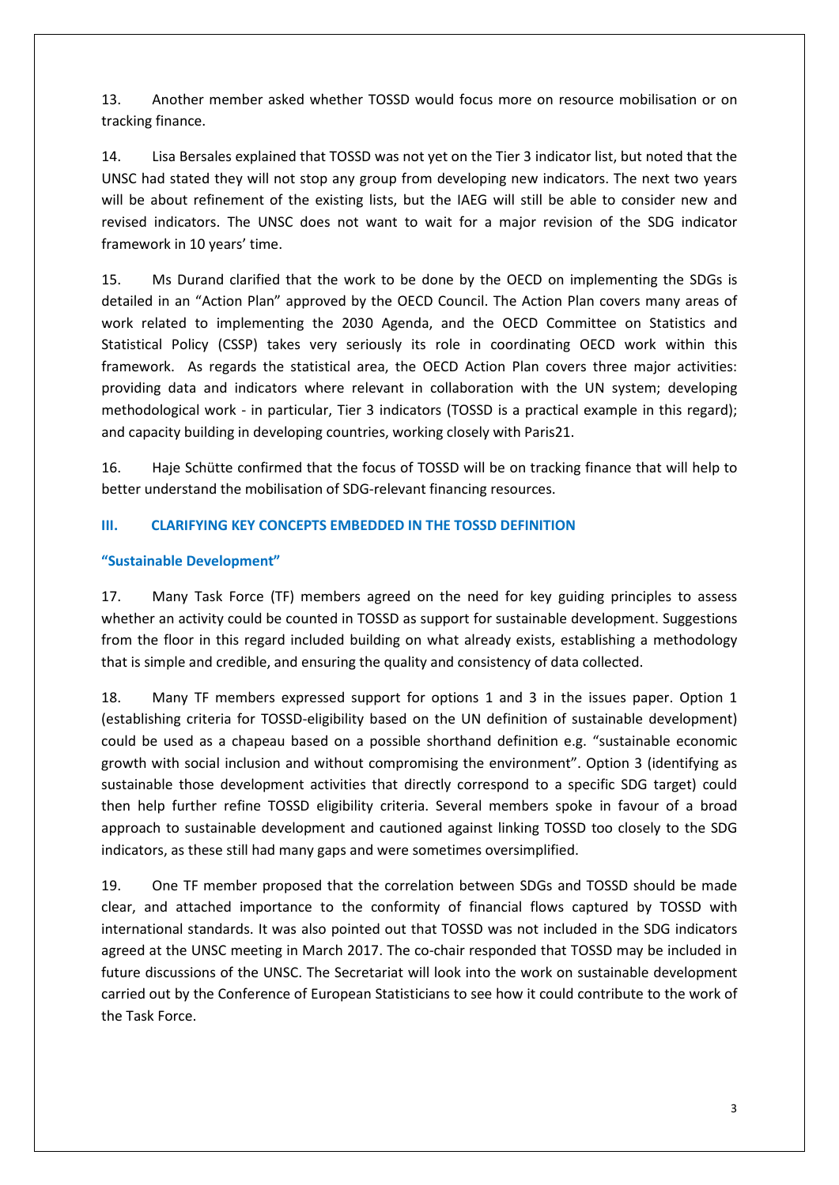13. Another member asked whether TOSSD would focus more on resource mobilisation or on tracking finance.

14. Lisa Bersales explained that TOSSD was not yet on the Tier 3 indicator list, but noted that the UNSC had stated they will not stop any group from developing new indicators. The next two years will be about refinement of the existing lists, but the IAEG will still be able to consider new and revised indicators. The UNSC does not want to wait for a major revision of the SDG indicator framework in 10 years' time.

15. Ms Durand clarified that the work to be done by the OECD on implementing the SDGs is detailed in an "Action Plan" approved by the OECD Council. The Action Plan covers many areas of work related to implementing the 2030 Agenda, and the OECD Committee on Statistics and Statistical Policy (CSSP) takes very seriously its role in coordinating OECD work within this framework. As regards the statistical area, the OECD Action Plan covers three major activities: providing data and indicators where relevant in collaboration with the UN system; developing methodological work - in particular, Tier 3 indicators (TOSSD is a practical example in this regard); and capacity building in developing countries, working closely with Paris21.

16. Haje Schütte confirmed that the focus of TOSSD will be on tracking finance that will help to better understand the mobilisation of SDG-relevant financing resources.

## **III. CLARIFYING KEY CONCEPTS EMBEDDED IN THE TOSSD DEFINITION**

## **"Sustainable Development"**

17. Many Task Force (TF) members agreed on the need for key guiding principles to assess whether an activity could be counted in TOSSD as support for sustainable development. Suggestions from the floor in this regard included building on what already exists, establishing a methodology that is simple and credible, and ensuring the quality and consistency of data collected.

18. Many TF members expressed support for options 1 and 3 in the issues paper. Option 1 (establishing criteria for TOSSD-eligibility based on the UN definition of sustainable development) could be used as a chapeau based on a possible shorthand definition e.g. "sustainable economic growth with social inclusion and without compromising the environment". Option 3 (identifying as sustainable those development activities that directly correspond to a specific SDG target) could then help further refine TOSSD eligibility criteria. Several members spoke in favour of a broad approach to sustainable development and cautioned against linking TOSSD too closely to the SDG indicators, as these still had many gaps and were sometimes oversimplified.

19. One TF member proposed that the correlation between SDGs and TOSSD should be made clear, and attached importance to the conformity of financial flows captured by TOSSD with international standards. It was also pointed out that TOSSD was not included in the SDG indicators agreed at the UNSC meeting in March 2017. The co-chair responded that TOSSD may be included in future discussions of the UNSC. The Secretariat will look into the work on sustainable development carried out by the Conference of European Statisticians to see how it could contribute to the work of the Task Force.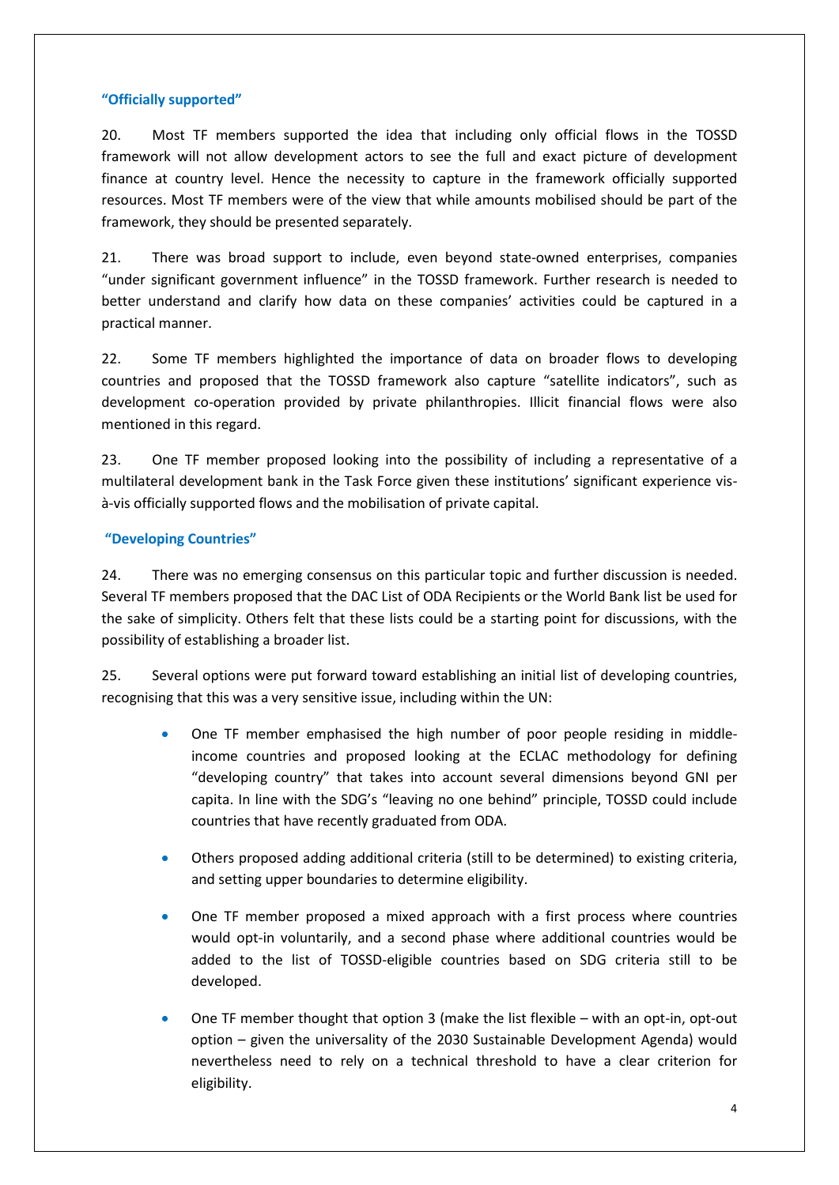## **"Officially supported"**

20. Most TF members supported the idea that including only official flows in the TOSSD framework will not allow development actors to see the full and exact picture of development finance at country level. Hence the necessity to capture in the framework officially supported resources. Most TF members were of the view that while amounts mobilised should be part of the framework, they should be presented separately.

21. There was broad support to include, even beyond state-owned enterprises, companies "under significant government influence" in the TOSSD framework. Further research is needed to better understand and clarify how data on these companies' activities could be captured in a practical manner.

22. Some TF members highlighted the importance of data on broader flows to developing countries and proposed that the TOSSD framework also capture "satellite indicators", such as development co-operation provided by private philanthropies. Illicit financial flows were also mentioned in this regard.

23. One TF member proposed looking into the possibility of including a representative of a multilateral development bank in the Task Force given these institutions' significant experience visà-vis officially supported flows and the mobilisation of private capital.

## **"Developing Countries"**

24. There was no emerging consensus on this particular topic and further discussion is needed. Several TF members proposed that the DAC List of ODA Recipients or the World Bank list be used for the sake of simplicity. Others felt that these lists could be a starting point for discussions, with the possibility of establishing a broader list.

25. Several options were put forward toward establishing an initial list of developing countries, recognising that this was a very sensitive issue, including within the UN:

- One TF member emphasised the high number of poor people residing in middleincome countries and proposed looking at the ECLAC methodology for defining "developing country" that takes into account several dimensions beyond GNI per capita. In line with the SDG's "leaving no one behind" principle, TOSSD could include countries that have recently graduated from ODA.
- Others proposed adding additional criteria (still to be determined) to existing criteria, and setting upper boundaries to determine eligibility.
- One TF member proposed a mixed approach with a first process where countries would opt-in voluntarily, and a second phase where additional countries would be added to the list of TOSSD-eligible countries based on SDG criteria still to be developed.
- One TF member thought that option 3 (make the list flexible with an opt-in, opt-out option – given the universality of the 2030 Sustainable Development Agenda) would nevertheless need to rely on a technical threshold to have a clear criterion for eligibility.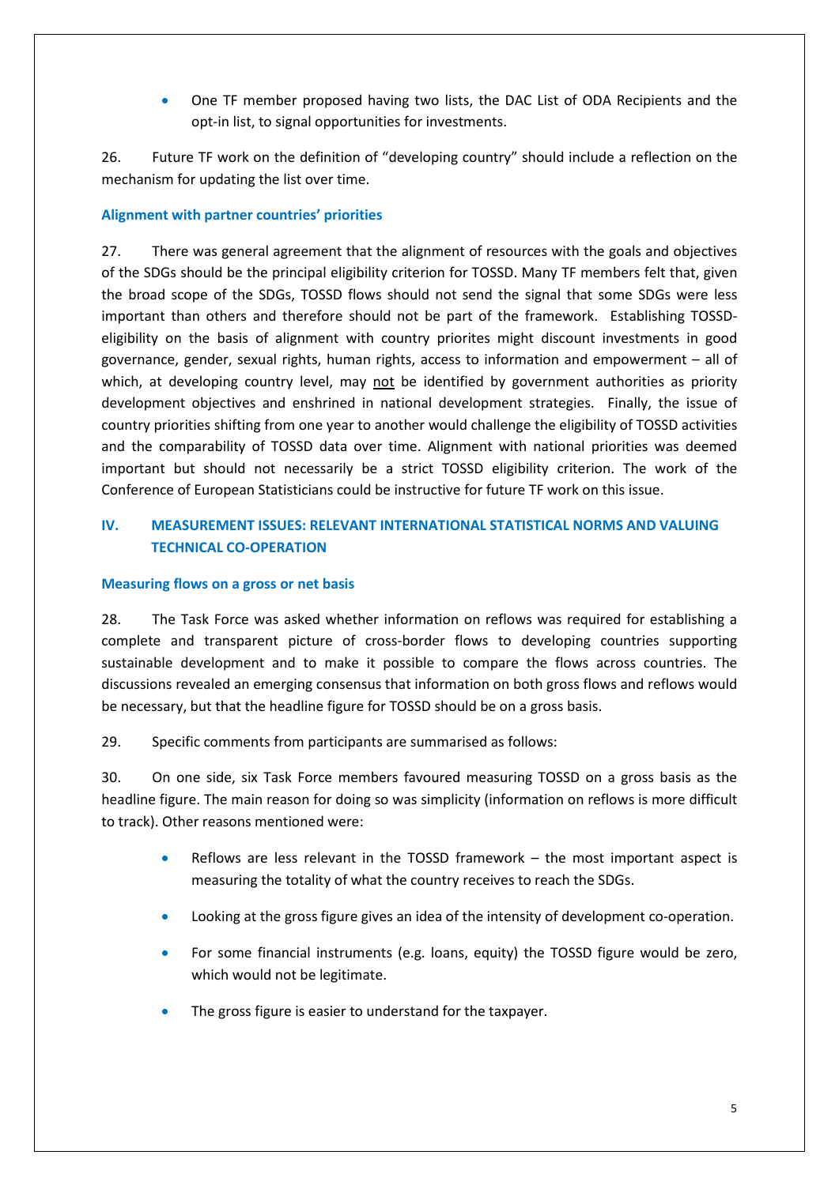• One TF member proposed having two lists, the DAC List of ODA Recipients and the opt-in list, to signal opportunities for investments.

26. Future TF work on the definition of "developing country" should include a reflection on the mechanism for updating the list over time.

# **Alignment with partner countries' priorities**

27. There was general agreement that the alignment of resources with the goals and objectives of the SDGs should be the principal eligibility criterion for TOSSD. Many TF members felt that, given the broad scope of the SDGs, TOSSD flows should not send the signal that some SDGs were less important than others and therefore should not be part of the framework. Establishing TOSSDeligibility on the basis of alignment with country priorites might discount investments in good governance, gender, sexual rights, human rights, access to information and empowerment – all of which, at developing country level, may not be identified by government authorities as priority development objectives and enshrined in national development strategies. Finally, the issue of country priorities shifting from one year to another would challenge the eligibility of TOSSD activities and the comparability of TOSSD data over time. Alignment with national priorities was deemed important but should not necessarily be a strict TOSSD eligibility criterion. The work of the Conference of European Statisticians could be instructive for future TF work on this issue.

# **IV. MEASUREMENT ISSUES: RELEVANT INTERNATIONAL STATISTICAL NORMS AND VALUING TECHNICAL CO-OPERATION**

#### **Measuring flows on a gross or net basis**

28. The Task Force was asked whether information on reflows was required for establishing a complete and transparent picture of cross-border flows to developing countries supporting sustainable development and to make it possible to compare the flows across countries. The discussions revealed an emerging consensus that information on both gross flows and reflows would be necessary, but that the headline figure for TOSSD should be on a gross basis.

29. Specific comments from participants are summarised as follows:

30. On one side, six Task Force members favoured measuring TOSSD on a gross basis as the headline figure. The main reason for doing so was simplicity (information on reflows is more difficult to track). Other reasons mentioned were:

- Reflows are less relevant in the TOSSD framework the most important aspect is measuring the totality of what the country receives to reach the SDGs.
- Looking at the gross figure gives an idea of the intensity of development co-operation.
- For some financial instruments (e.g. loans, equity) the TOSSD figure would be zero, which would not be legitimate.
- The gross figure is easier to understand for the taxpayer.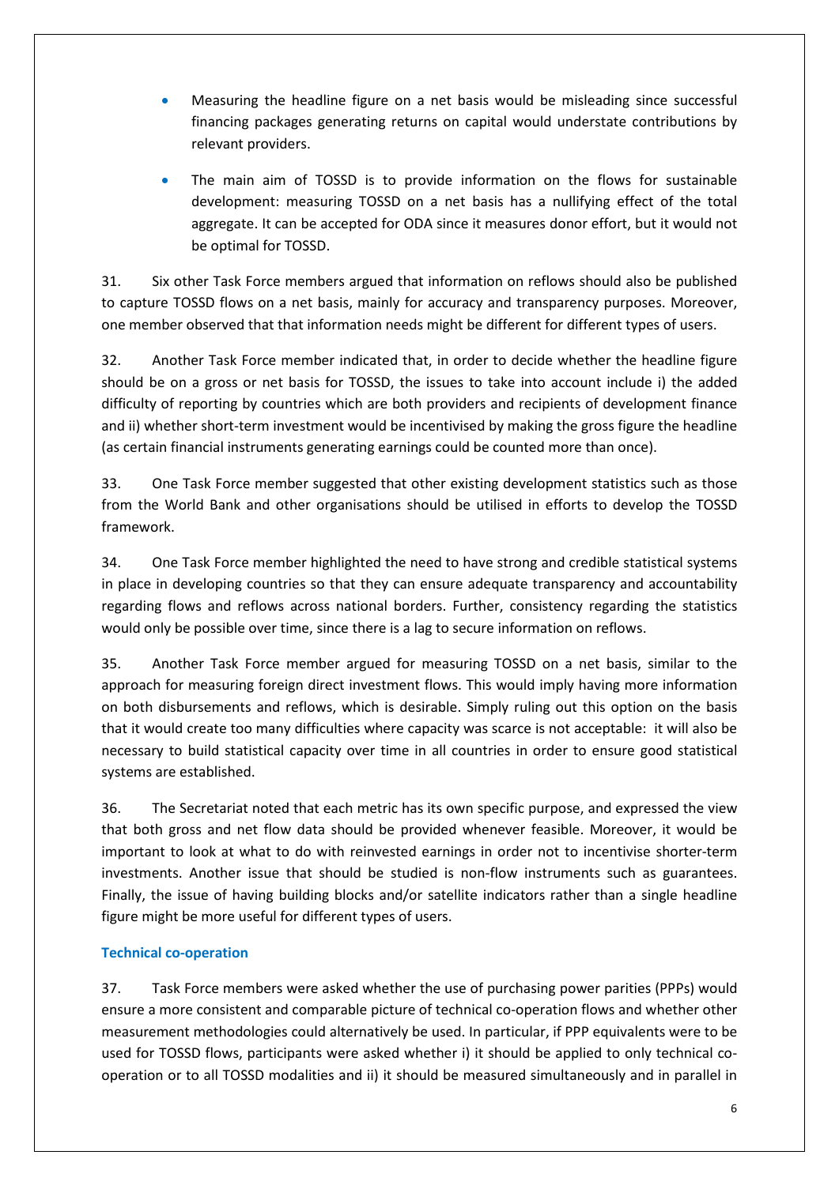- Measuring the headline figure on a net basis would be misleading since successful financing packages generating returns on capital would understate contributions by relevant providers.
- The main aim of TOSSD is to provide information on the flows for sustainable development: measuring TOSSD on a net basis has a nullifying effect of the total aggregate. It can be accepted for ODA since it measures donor effort, but it would not be optimal for TOSSD.

31. Six other Task Force members argued that information on reflows should also be published to capture TOSSD flows on a net basis, mainly for accuracy and transparency purposes. Moreover, one member observed that that information needs might be different for different types of users.

32. Another Task Force member indicated that, in order to decide whether the headline figure should be on a gross or net basis for TOSSD, the issues to take into account include i) the added difficulty of reporting by countries which are both providers and recipients of development finance and ii) whether short-term investment would be incentivised by making the gross figure the headline (as certain financial instruments generating earnings could be counted more than once).

33. One Task Force member suggested that other existing development statistics such as those from the World Bank and other organisations should be utilised in efforts to develop the TOSSD framework.

34. One Task Force member highlighted the need to have strong and credible statistical systems in place in developing countries so that they can ensure adequate transparency and accountability regarding flows and reflows across national borders. Further, consistency regarding the statistics would only be possible over time, since there is a lag to secure information on reflows.

35. Another Task Force member argued for measuring TOSSD on a net basis, similar to the approach for measuring foreign direct investment flows. This would imply having more information on both disbursements and reflows, which is desirable. Simply ruling out this option on the basis that it would create too many difficulties where capacity was scarce is not acceptable: it will also be necessary to build statistical capacity over time in all countries in order to ensure good statistical systems are established.

36. The Secretariat noted that each metric has its own specific purpose, and expressed the view that both gross and net flow data should be provided whenever feasible. Moreover, it would be important to look at what to do with reinvested earnings in order not to incentivise shorter-term investments. Another issue that should be studied is non-flow instruments such as guarantees. Finally, the issue of having building blocks and/or satellite indicators rather than a single headline figure might be more useful for different types of users.

# **Technical co-operation**

37. Task Force members were asked whether the use of purchasing power parities (PPPs) would ensure a more consistent and comparable picture of technical co-operation flows and whether other measurement methodologies could alternatively be used. In particular, if PPP equivalents were to be used for TOSSD flows, participants were asked whether i) it should be applied to only technical cooperation or to all TOSSD modalities and ii) it should be measured simultaneously and in parallel in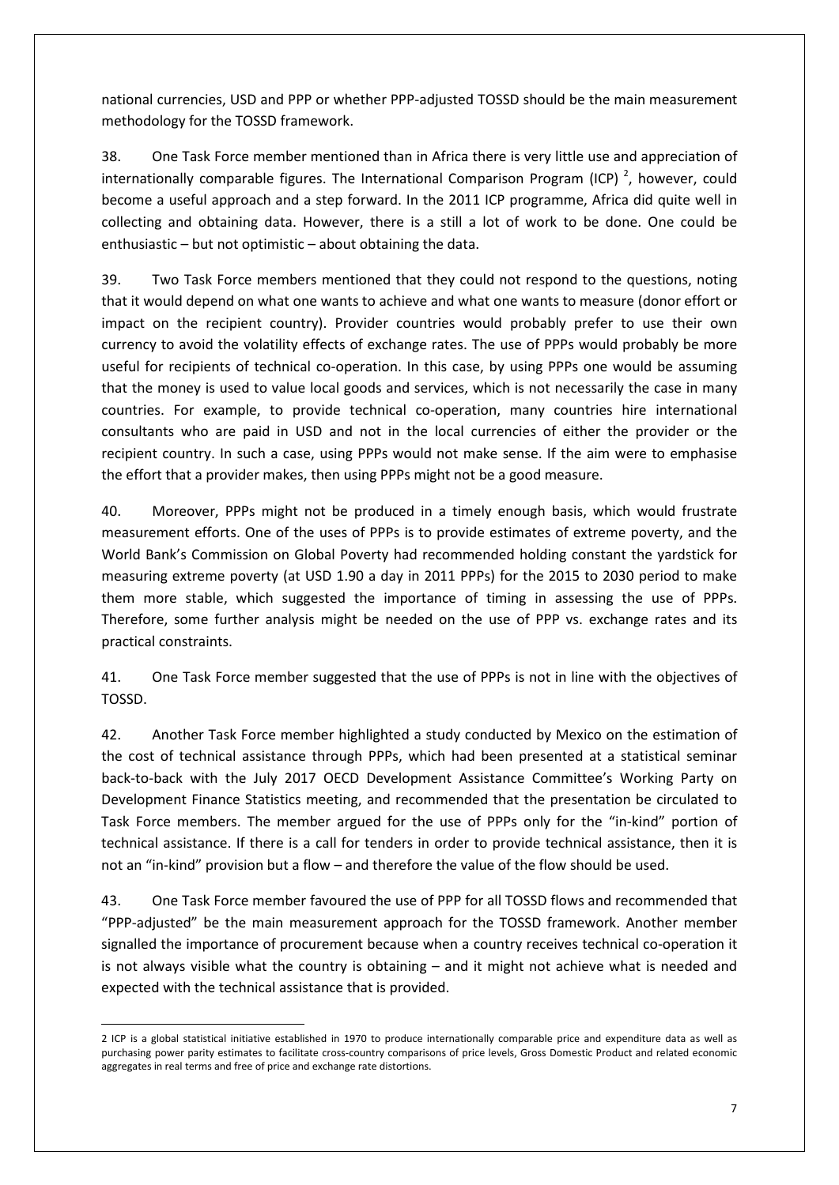national currencies, USD and PPP or whether PPP-adjusted TOSSD should be the main measurement methodology for the TOSSD framework.

38. One Task Force member mentioned than in Africa there is very little use and appreciation of internationally comparable figures. The International Comparison Program (ICP)<sup>[2](#page-6-0)</sup>, however, could become a useful approach and a step forward. In the 2011 ICP programme, Africa did quite well in collecting and obtaining data. However, there is a still a lot of work to be done. One could be enthusiastic – but not optimistic – about obtaining the data.

39. Two Task Force members mentioned that they could not respond to the questions, noting that it would depend on what one wants to achieve and what one wants to measure (donor effort or impact on the recipient country). Provider countries would probably prefer to use their own currency to avoid the volatility effects of exchange rates. The use of PPPs would probably be more useful for recipients of technical co-operation. In this case, by using PPPs one would be assuming that the money is used to value local goods and services, which is not necessarily the case in many countries. For example, to provide technical co-operation, many countries hire international consultants who are paid in USD and not in the local currencies of either the provider or the recipient country. In such a case, using PPPs would not make sense. If the aim were to emphasise the effort that a provider makes, then using PPPs might not be a good measure.

40. Moreover, PPPs might not be produced in a timely enough basis, which would frustrate measurement efforts. One of the uses of PPPs is to provide estimates of extreme poverty, and the World Bank's Commission on Global Poverty had recommended holding constant the yardstick for measuring extreme poverty (at USD 1.90 a day in 2011 PPPs) for the 2015 to 2030 period to make them more stable, which suggested the importance of timing in assessing the use of PPPs. Therefore, some further analysis might be needed on the use of PPP vs. exchange rates and its practical constraints.

41. One Task Force member suggested that the use of PPPs is not in line with the objectives of TOSSD.

42. Another Task Force member highlighted a study conducted by Mexico on the estimation of the cost of technical assistance through PPPs, which had been presented at a statistical seminar back-to-back with the July 2017 OECD Development Assistance Committee's Working Party on Development Finance Statistics meeting, and recommended that the presentation be circulated to Task Force members. The member argued for the use of PPPs only for the "in-kind" portion of technical assistance. If there is a call for tenders in order to provide technical assistance, then it is not an "in-kind" provision but a flow – and therefore the value of the flow should be used.

43. One Task Force member favoured the use of PPP for all TOSSD flows and recommended that "PPP-adjusted" be the main measurement approach for the TOSSD framework. Another member signalled the importance of procurement because when a country receives technical co-operation it is not always visible what the country is obtaining – and it might not achieve what is needed and expected with the technical assistance that is provided.

<span id="page-6-0"></span> <sup>2</sup> ICP is a global statistical initiative established in 1970 to produce internationally comparable price and expenditure data as well as purchasing power parity estimates to facilitate cross-country comparisons of price levels, Gross Domestic Product and related economic aggregates in real terms and free of price and exchange rate distortions.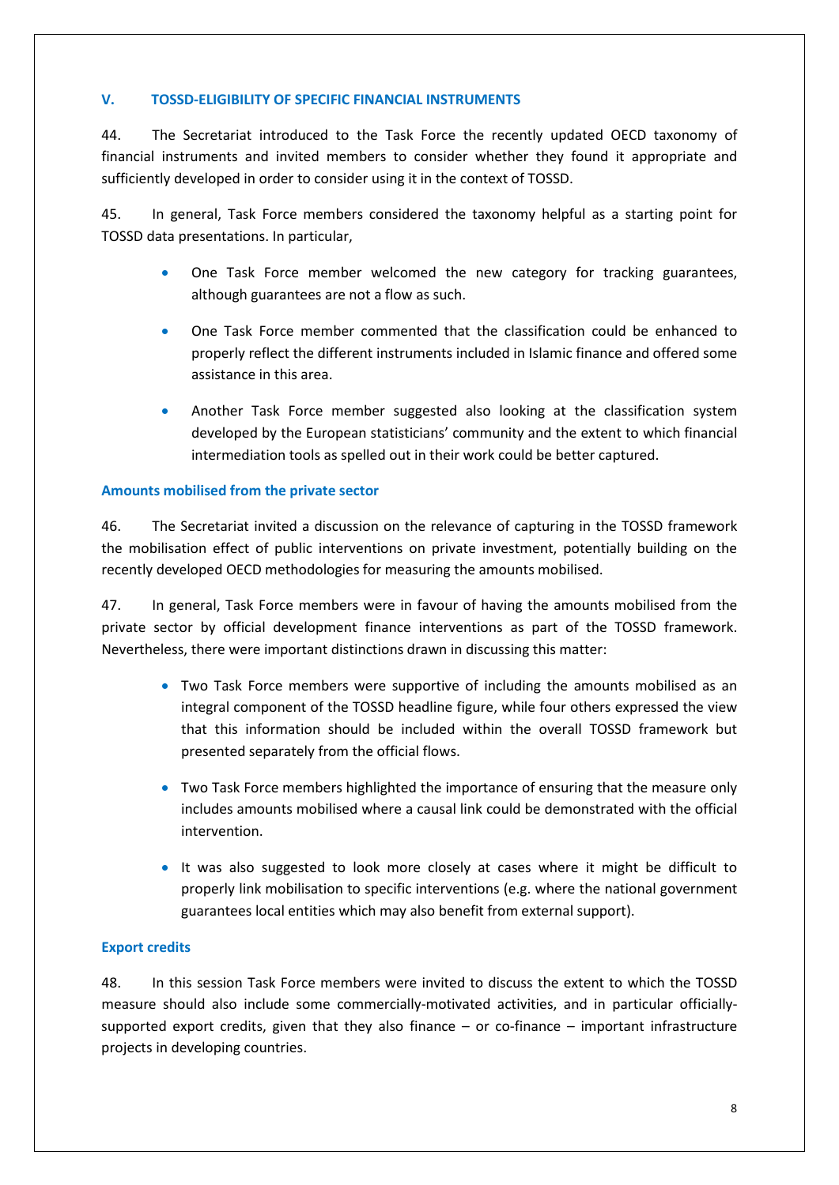# **V. TOSSD-ELIGIBILITY OF SPECIFIC FINANCIAL INSTRUMENTS**

44. The Secretariat introduced to the Task Force the recently updated OECD taxonomy of financial instruments and invited members to consider whether they found it appropriate and sufficiently developed in order to consider using it in the context of TOSSD.

45. In general, Task Force members considered the taxonomy helpful as a starting point for TOSSD data presentations. In particular,

- One Task Force member welcomed the new category for tracking guarantees, although guarantees are not a flow as such.
- One Task Force member commented that the classification could be enhanced to properly reflect the different instruments included in Islamic finance and offered some assistance in this area.
- Another Task Force member suggested also looking at the classification system developed by the European statisticians' community and the extent to which financial intermediation tools as spelled out in their work could be better captured.

## **Amounts mobilised from the private sector**

46. The Secretariat invited a discussion on the relevance of capturing in the TOSSD framework the mobilisation effect of public interventions on private investment, potentially building on the recently developed OECD methodologies for measuring the amounts mobilised.

47. In general, Task Force members were in favour of having the amounts mobilised from the private sector by official development finance interventions as part of the TOSSD framework. Nevertheless, there were important distinctions drawn in discussing this matter:

- Two Task Force members were supportive of including the amounts mobilised as an integral component of the TOSSD headline figure, while four others expressed the view that this information should be included within the overall TOSSD framework but presented separately from the official flows.
- Two Task Force members highlighted the importance of ensuring that the measure only includes amounts mobilised where a causal link could be demonstrated with the official intervention.
- It was also suggested to look more closely at cases where it might be difficult to properly link mobilisation to specific interventions (e.g. where the national government guarantees local entities which may also benefit from external support).

# **Export credits**

48. In this session Task Force members were invited to discuss the extent to which the TOSSD measure should also include some commercially-motivated activities, and in particular officiallysupported export credits, given that they also finance – or co-finance – important infrastructure projects in developing countries.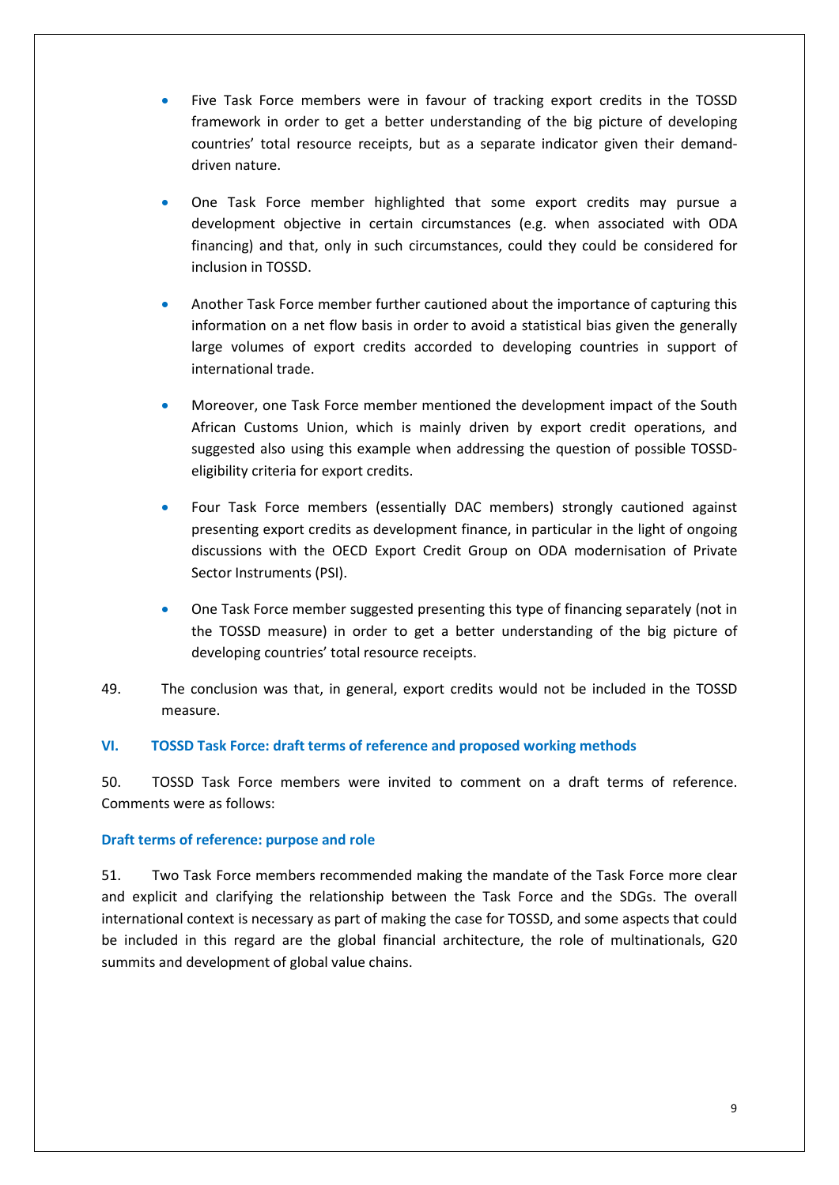- Five Task Force members were in favour of tracking export credits in the TOSSD framework in order to get a better understanding of the big picture of developing countries' total resource receipts, but as a separate indicator given their demanddriven nature.
- One Task Force member highlighted that some export credits may pursue a development objective in certain circumstances (e.g. when associated with ODA financing) and that, only in such circumstances, could they could be considered for inclusion in TOSSD.
- Another Task Force member further cautioned about the importance of capturing this information on a net flow basis in order to avoid a statistical bias given the generally large volumes of export credits accorded to developing countries in support of international trade.
- Moreover, one Task Force member mentioned the development impact of the South African Customs Union, which is mainly driven by export credit operations, and suggested also using this example when addressing the question of possible TOSSDeligibility criteria for export credits.
- Four Task Force members (essentially DAC members) strongly cautioned against presenting export credits as development finance, in particular in the light of ongoing discussions with the OECD Export Credit Group on ODA modernisation of Private Sector Instruments (PSI).
- One Task Force member suggested presenting this type of financing separately (not in the TOSSD measure) in order to get a better understanding of the big picture of developing countries' total resource receipts.
- 49. The conclusion was that, in general, export credits would not be included in the TOSSD measure.

# **VI. TOSSD Task Force: draft terms of reference and proposed working methods**

50. TOSSD Task Force members were invited to comment on a draft terms of reference. Comments were as follows:

### **Draft terms of reference: purpose and role**

51. Two Task Force members recommended making the mandate of the Task Force more clear and explicit and clarifying the relationship between the Task Force and the SDGs. The overall international context is necessary as part of making the case for TOSSD, and some aspects that could be included in this regard are the global financial architecture, the role of multinationals, G20 summits and development of global value chains.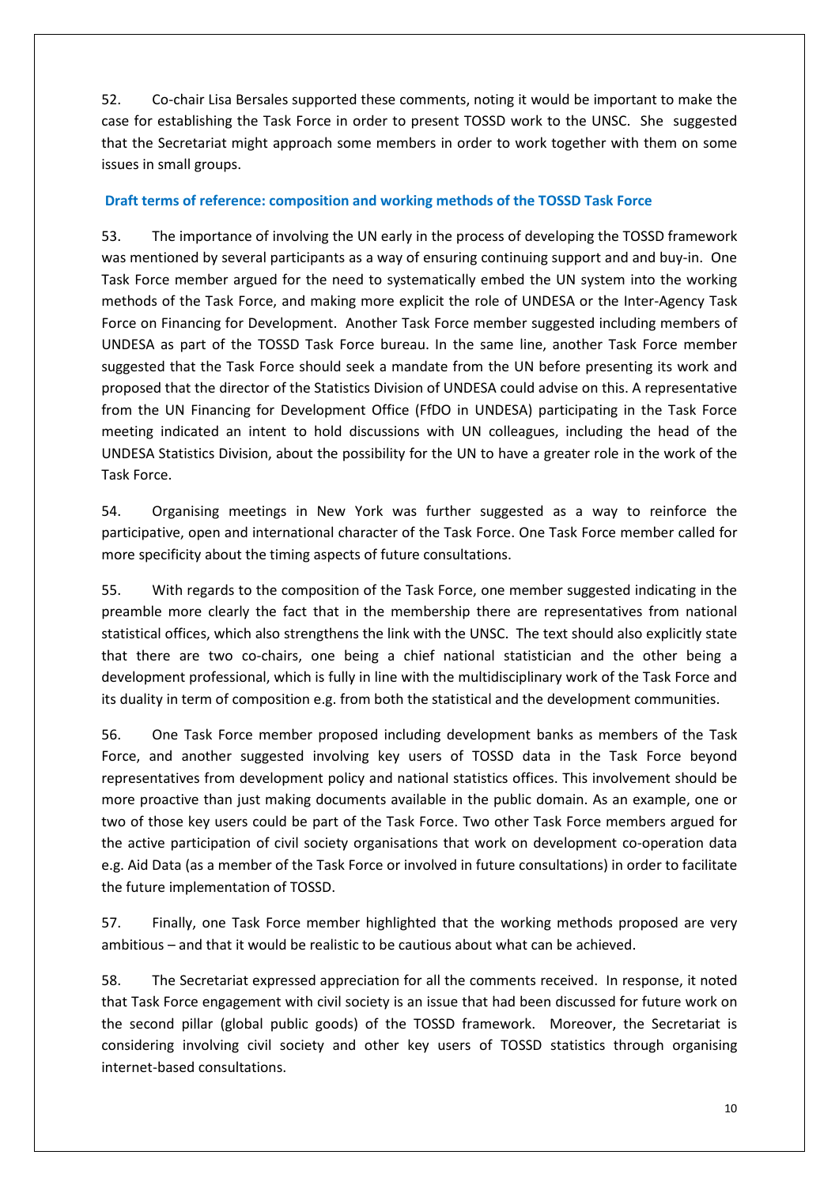52. Co-chair Lisa Bersales supported these comments, noting it would be important to make the case for establishing the Task Force in order to present TOSSD work to the UNSC. She suggested that the Secretariat might approach some members in order to work together with them on some issues in small groups.

# **Draft terms of reference: composition and working methods of the TOSSD Task Force**

53. The importance of involving the UN early in the process of developing the TOSSD framework was mentioned by several participants as a way of ensuring continuing support and and buy-in. One Task Force member argued for the need to systematically embed the UN system into the working methods of the Task Force, and making more explicit the role of UNDESA or the Inter-Agency Task Force on Financing for Development. Another Task Force member suggested including members of UNDESA as part of the TOSSD Task Force bureau. In the same line, another Task Force member suggested that the Task Force should seek a mandate from the UN before presenting its work and proposed that the director of the Statistics Division of UNDESA could advise on this. A representative from the UN Financing for Development Office (FfDO in UNDESA) participating in the Task Force meeting indicated an intent to hold discussions with UN colleagues, including the head of the UNDESA Statistics Division, about the possibility for the UN to have a greater role in the work of the Task Force.

54. Organising meetings in New York was further suggested as a way to reinforce the participative, open and international character of the Task Force. One Task Force member called for more specificity about the timing aspects of future consultations.

55. With regards to the composition of the Task Force, one member suggested indicating in the preamble more clearly the fact that in the membership there are representatives from national statistical offices, which also strengthens the link with the UNSC. The text should also explicitly state that there are two co-chairs, one being a chief national statistician and the other being a development professional, which is fully in line with the multidisciplinary work of the Task Force and its duality in term of composition e.g. from both the statistical and the development communities.

56. One Task Force member proposed including development banks as members of the Task Force, and another suggested involving key users of TOSSD data in the Task Force beyond representatives from development policy and national statistics offices. This involvement should be more proactive than just making documents available in the public domain. As an example, one or two of those key users could be part of the Task Force. Two other Task Force members argued for the active participation of civil society organisations that work on development co-operation data e.g. Aid Data (as a member of the Task Force or involved in future consultations) in order to facilitate the future implementation of TOSSD.

57. Finally, one Task Force member highlighted that the working methods proposed are very ambitious – and that it would be realistic to be cautious about what can be achieved.

58. The Secretariat expressed appreciation for all the comments received. In response, it noted that Task Force engagement with civil society is an issue that had been discussed for future work on the second pillar (global public goods) of the TOSSD framework. Moreover, the Secretariat is considering involving civil society and other key users of TOSSD statistics through organising internet-based consultations.